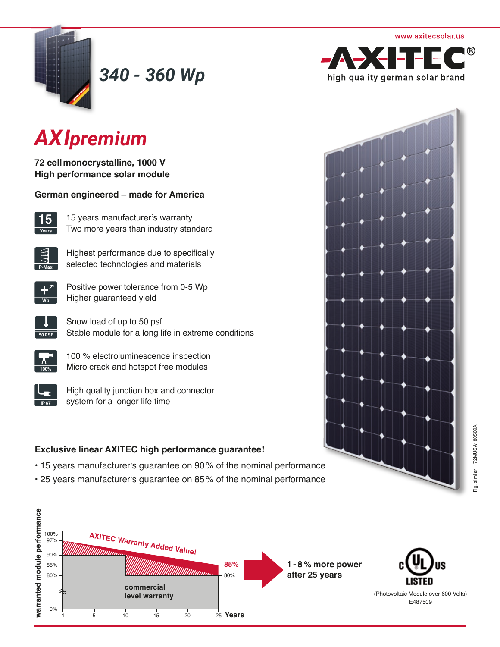

*340 - 360 Wp*



# *AXIpremium*

**72 cell monocrystalline, 1000 V High performance solar module** 

**German engineered – made for America**



15 years manufacturer's warranty Two more years than industry standard



Highest performance due to specifically selected technologies and materials



Positive power tolerance from 0-5 Wp **Higher guaranteed yield** 



Snow load of up to 50 psf Stable module for a long life in extreme conditions

| 4<br>ະ |
|--------|

100 % electroluminescence inspection Micro crack and hotspot free modules

High quality junction box and connector system for a longer life time

# **Exclusive linear AXITEC high performance guarantee!**

- 15 years manufacturer's guarantee on 90% of the nominal performance
- 25 years manufacturer's guarantee on 85% of the nominal performance